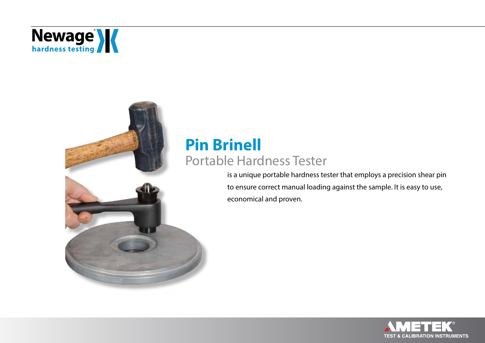

### **Pin Brinell** Portable Hardness Tester

is a unique portable hardness tester that employs a precision shear pin to ensure correct manual loading against the sample. It is easy to use, economical and proven.

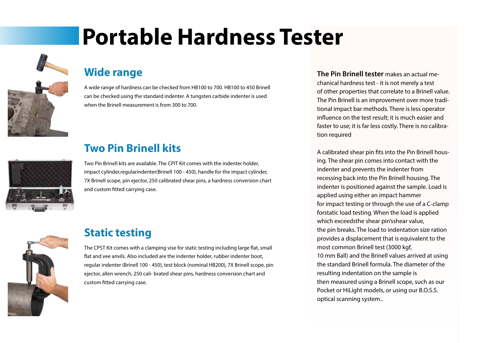## **Portable Hardness Tester**



#### **Wide range**

A wide range of hardness can be checked from HB100 to 700. HB100 to 450 Brinell can be checked using the standard indenter. A tungsten carbide indenter is used when the Brinell measurement is from 300 to 700.



### **Two Pin Brinell kits**

Two Pin Brinell kits are available. The CPIT Kit comes with the indenter holder, impact cylinder,regularindenter(Brinell 100 - 450), handle for the impact cylinder, 7X Brinell scope, pin ejector, 250 calibrated shear pins, a hardness conversion chart and custom fitted carrying case.



#### **Static testing**

The CPST Kit comes with a clamping vise for static testing including large flat, small flat and vee anvils. Also included are the indenter holder, rubber indenter boot, regular indenter (Brinell 100 - 450), test block (nominal HB200), 7X Brinell scope, pin ejector, allen wrench, 250 cali- brated shear pins, hardness conversion chart and custom fitted carrying case.

**The Pin Brinell tester** makes an actual mechanical hardness test - it is not merely a test of other properties that correlate to a Brinell value. The Pin Brinell is an improvement over more traditional impact bar methods. There is less operator influence on the test result; it is much easier and faster to use; it is far less costly. There is no calibration required

A calibrated shear pin fits into the Pin Brinell housing. The shear pin comes into contact with the indenter and prevents the indenter from recessing back into the Pin Brinell housing. The indenter is positioned against the sample. Load is applied using either an impact hammer for impact testing or through the use of a C-clamp forstatic load testing. When the load is applied which exceedsthe shear pin'sshear value, the pin breaks. The load to indentation size ration provides a displacement that is equivalent to the most common Brinell test (3000 kgf, 10 mm Ball) and the Brinell values arrived at using the standard Brinell formula. The diameter of the resulting indentation on the sample is then measured using a Brinell scope, such as our Pocket or HiLight models, or using our B.O.S.S. optical scanning system..